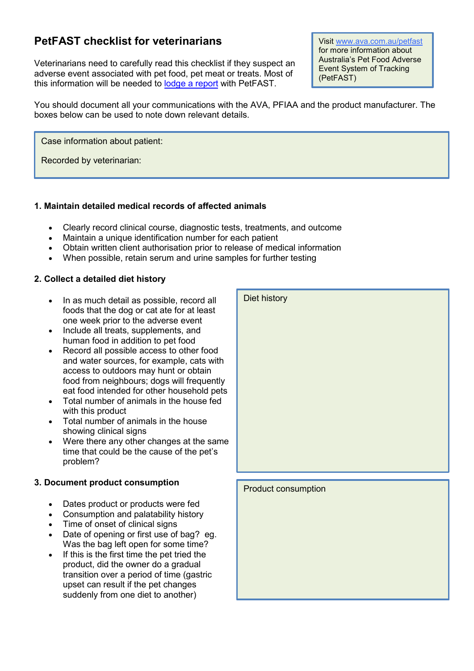# **PetFAST checklist for veterinarians**

Veterinarians need to carefully read this checklist if they suspect an adverse event associated with pet food, pet meat or treats. Most of this information will be needed to [lodge a report](http://www.ava.com.au/webform/petfast-report) with PetFAST.

Visit [www.ava.com.au/petfast](http://www.ava.com.au/petfast) for more information about Australia's Pet Food Adverse Event System of Tracking (PetFAST)

You should document all your communications with the AVA, PFIAA and the product manufacturer. The boxes below can be used to note down relevant details.

Case information about patient:

Recorded by veterinarian:

### **1. Maintain detailed medical records of affected animals**

- Clearly record clinical course, diagnostic tests, treatments, and outcome
- Maintain a unique identification number for each patient
- Obtain written client authorisation prior to release of medical information
- When possible, retain serum and urine samples for further testing

## **2. Collect a detailed diet history**

- In as much detail as possible, record all foods that the dog or cat ate for at least one week prior to the adverse event
- Include all treats, supplements, and human food in addition to pet food
- Record all possible access to other food and water sources, for example, cats with access to outdoors may hunt or obtain food from neighbours; dogs will frequently eat food intended for other household pets
- Total number of animals in the house fed with this product
- Total number of animals in the house showing clinical signs
- Were there any other changes at the same time that could be the cause of the pet's problem?

## **3. Document product consumption**

- Dates product or products were fed
- Consumption and palatability history
- Time of onset of clinical signs
- Date of opening or first use of bag? eg. Was the bag left open for some time?
- If this is the first time the pet tried the product, did the owner do a gradual transition over a period of time (gastric upset can result if the pet changes suddenly from one diet to another)

| Diet history        |
|---------------------|
| Product consumption |